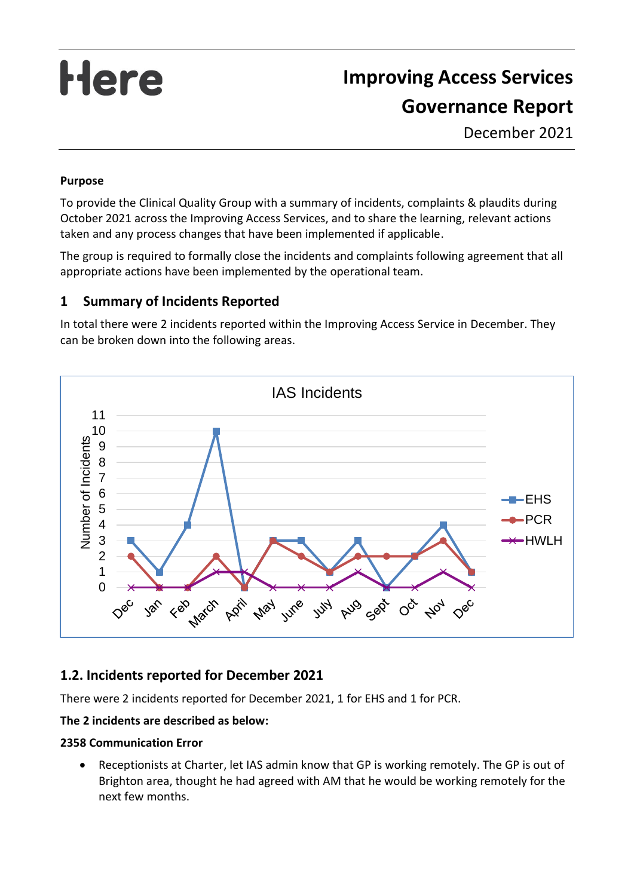# Here

# **Improving Access Services Governance Report**

December 2021

#### **Purpose**

To provide the Clinical Quality Group with a summary of incidents, complaints & plaudits during October 2021 across the Improving Access Services, and to share the learning, relevant actions taken and any process changes that have been implemented if applicable.

The group is required to formally close the incidents and complaints following agreement that all appropriate actions have been implemented by the operational team.

# **1 Summary of Incidents Reported**

In total there were 2 incidents reported within the Improving Access Service in December. They can be broken down into the following areas.



# **1.2. Incidents reported for December 2021**

There were 2 incidents reported for December 2021, 1 for EHS and 1 for PCR.

#### **The 2 incidents are described as below:**

#### **2358 Communication Error**

• Receptionists at Charter, let IAS admin know that GP is working remotely. The GP is out of Brighton area, thought he had agreed with AM that he would be working remotely for the next few months.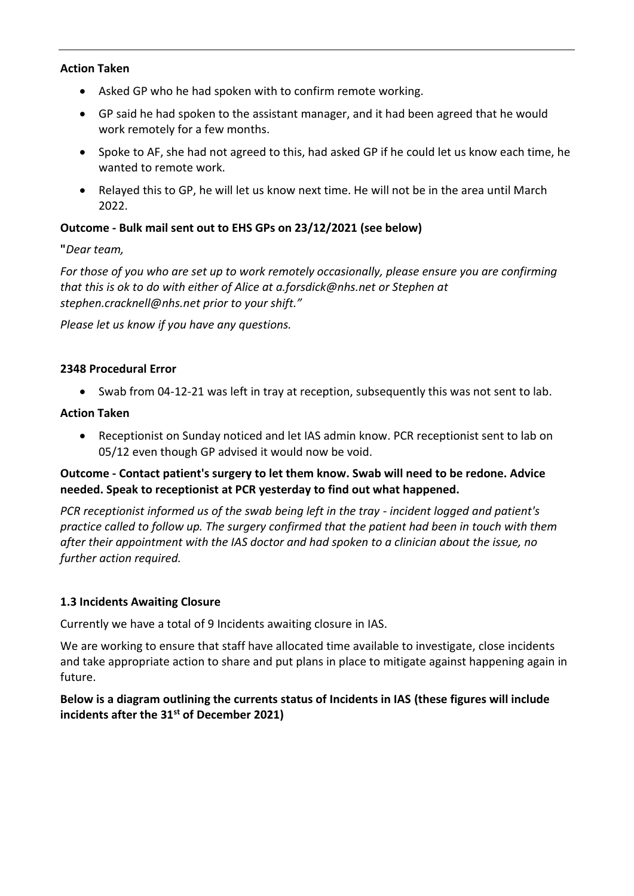#### **Action Taken**

- Asked GP who he had spoken with to confirm remote working.
- GP said he had spoken to the assistant manager, and it had been agreed that he would work remotely for a few months.
- Spoke to AF, she had not agreed to this, had asked GP if he could let us know each time, he wanted to remote work.
- Relayed this to GP, he will let us know next time. He will not be in the area until March 2022.

#### **Outcome - Bulk mail sent out to EHS GPs on 23/12/2021 (see below)**

**"***Dear team,*

*For those of you who are set up to work remotely occasionally, please ensure you are confirming that this is ok to do with either of Alice at a.forsdick@nhs.net or Stephen at stephen.cracknell@nhs.net prior to your shift."*

*Please let us know if you have any questions.*

#### **2348 Procedural Error**

• Swab from 04-12-21 was left in tray at reception, subsequently this was not sent to lab.

#### **Action Taken**

• Receptionist on Sunday noticed and let IAS admin know. PCR receptionist sent to lab on 05/12 even though GP advised it would now be void.

#### **Outcome - Contact patient's surgery to let them know. Swab will need to be redone. Advice needed. Speak to receptionist at PCR yesterday to find out what happened.**

*PCR receptionist informed us of the swab being left in the tray - incident logged and patient's practice called to follow up. The surgery confirmed that the patient had been in touch with them after their appointment with the IAS doctor and had spoken to a clinician about the issue, no further action required.*

#### **1.3 Incidents Awaiting Closure**

Currently we have a total of 9 Incidents awaiting closure in IAS.

We are working to ensure that staff have allocated time available to investigate, close incidents and take appropriate action to share and put plans in place to mitigate against happening again in future.

#### **Below is a diagram outlining the currents status of Incidents in IAS (these figures will include incidents after the 31st of December 2021)**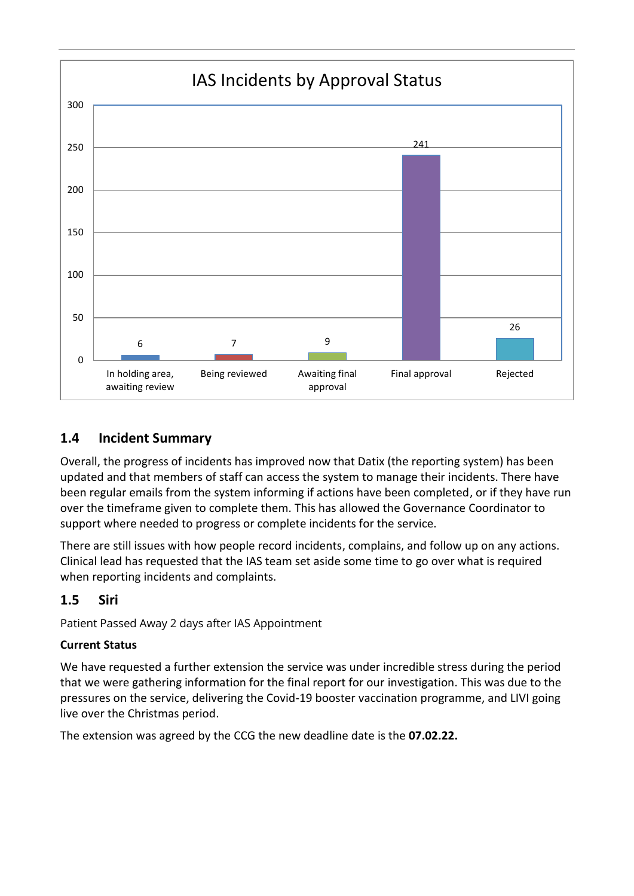

# **1.4 Incident Summary**

Overall, the progress of incidents has improved now that Datix (the reporting system) has been updated and that members of staff can access the system to manage their incidents. There have been regular emails from the system informing if actions have been completed, or if they have run over the timeframe given to complete them. This has allowed the Governance Coordinator to support where needed to progress or complete incidents for the service.

There are still issues with how people record incidents, complains, and follow up on any actions. Clinical lead has requested that the IAS team set aside some time to go over what is required when reporting incidents and complaints.

# **1.5 Siri**

Patient Passed Away 2 days after IAS Appointment

#### **Current Status**

We have requested a further extension the service was under incredible stress during the period that we were gathering information for the final report for our investigation. This was due to the pressures on the service, delivering the Covid-19 booster vaccination programme, and LIVI going live over the Christmas period.

The extension was agreed by the CCG the new deadline date is the **07.02.22.**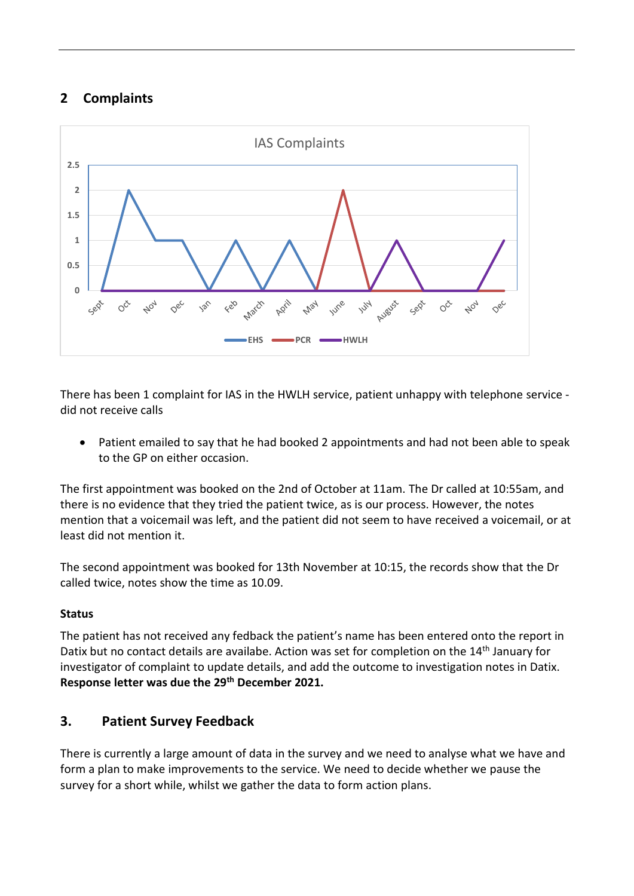# **2 Complaints**



There has been 1 complaint for IAS in the HWLH service, patient unhappy with telephone service did not receive calls

• Patient emailed to say that he had booked 2 appointments and had not been able to speak to the GP on either occasion.

The first appointment was booked on the 2nd of October at 11am. The Dr called at 10:55am, and there is no evidence that they tried the patient twice, as is our process. However, the notes mention that a voicemail was left, and the patient did not seem to have received a voicemail, or at least did not mention it.

The second appointment was booked for 13th November at 10:15, the records show that the Dr called twice, notes show the time as 10.09.

#### **Status**

The patient has not received any fedback the patient's name has been entered onto the report in Datix but no contact details are availabe. Action was set for completion on the 14<sup>th</sup> January for investigator of complaint to update details, and add the outcome to investigation notes in Datix. **Response letter was due the 29th December 2021.**

# **3. Patient Survey Feedback**

There is currently a large amount of data in the survey and we need to analyse what we have and form a plan to make improvements to the service. We need to decide whether we pause the survey for a short while, whilst we gather the data to form action plans.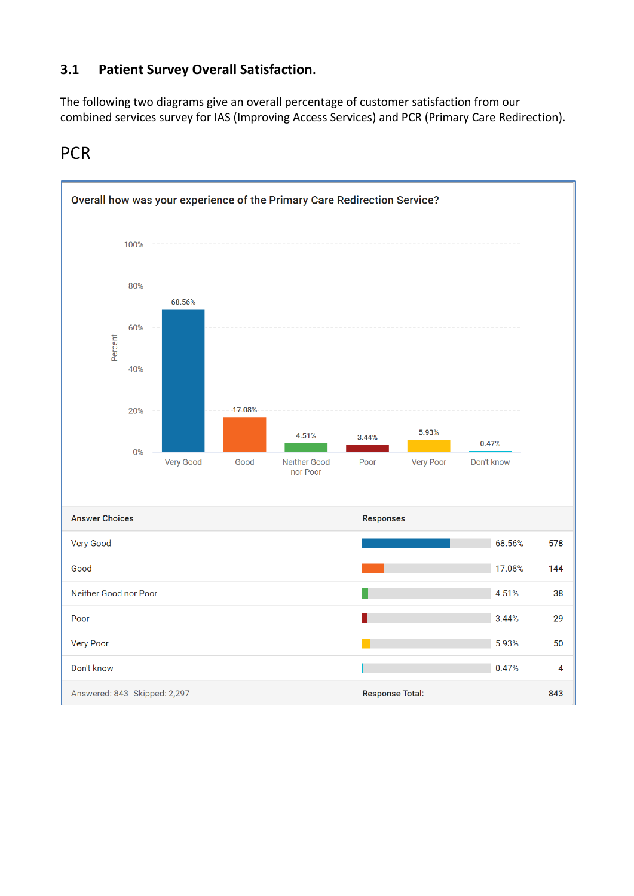# **3.1 Patient Survey Overall Satisfaction.**

The following two diagrams give an overall percentage of customer satisfaction from our combined services survey for IAS (Improving Access Services) and PCR (Primary Care Redirection).

# **PCR**

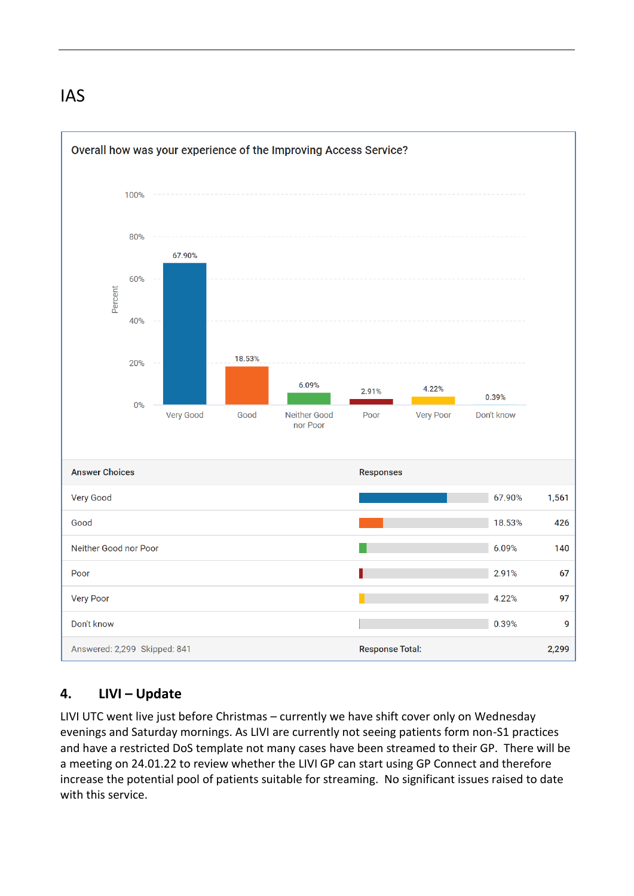# IAS



# **4. LIVI – Update**

LIVI UTC went live just before Christmas – currently we have shift cover only on Wednesday evenings and Saturday mornings. As LIVI are currently not seeing patients form non-S1 practices and have a restricted DoS template not many cases have been streamed to their GP. There will be a meeting on 24.01.22 to review whether the LIVI GP can start using GP Connect and therefore increase the potential pool of patients suitable for streaming. No significant issues raised to date with this service.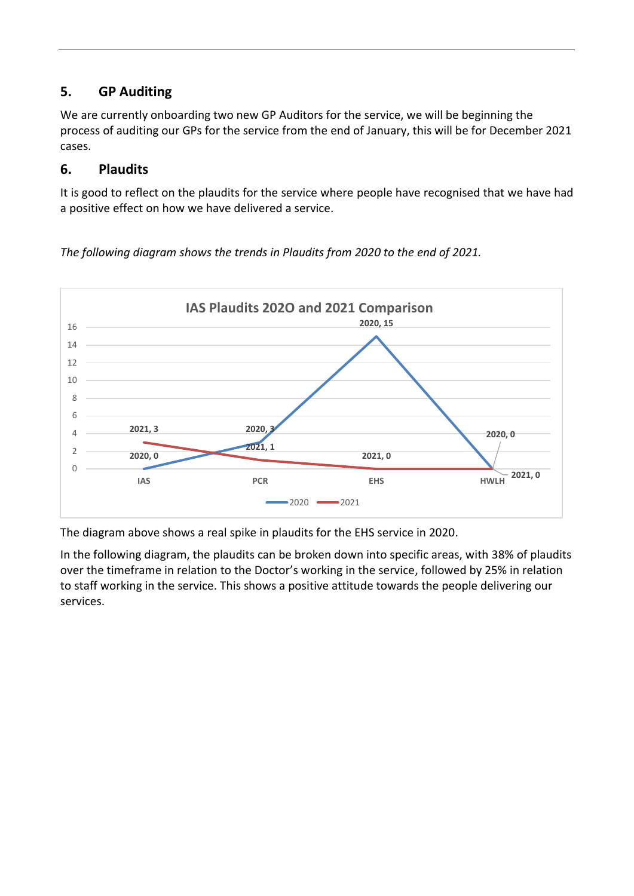# **5. GP Auditing**

We are currently onboarding two new GP Auditors for the service, we will be beginning the process of auditing our GPs for the service from the end of January, this will be for December 2021 cases.

# **6. Plaudits**

It is good to reflect on the plaudits for the service where people have recognised that we have had a positive effect on how we have delivered a service.

**2020, 0 2020, 3 2020, 15 2020, 0 2021, 3 2021, 1 2021, 0 2021, 0** 0 2 4 6 8 10 12 14 16 **IAS PCR EHS HWLH IAS Plaudits 202O and 2021 Comparison**   $-2020$   $-2021$ 

*The following diagram shows the trends in Plaudits from 2020 to the end of 2021.*

The diagram above shows a real spike in plaudits for the EHS service in 2020.

In the following diagram, the plaudits can be broken down into specific areas, with 38% of plaudits over the timeframe in relation to the Doctor's working in the service, followed by 25% in relation to staff working in the service. This shows a positive attitude towards the people delivering our services.